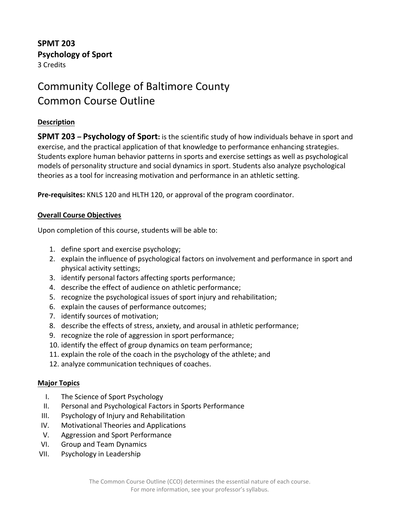## **SPMT 203 Psychology of Sport** 3 Credits

# Community College of Baltimore County Common Course Outline

### **Description**

**SPMT 203 – Psychology of Sport:** is the scientific study of how individuals behave in sport and exercise, and the practical application of that knowledge to performance enhancing strategies. Students explore human behavior patterns in sports and exercise settings as well as psychological models of personality structure and social dynamics in sport. Students also analyze psychological theories as a tool for increasing motivation and performance in an athletic setting.

**Pre-requisites:** KNLS 120 and HLTH 120, or approval of the program coordinator.

#### **Overall Course Objectives**

Upon completion of this course, students will be able to:

- 1. define sport and exercise psychology;
- 2. explain the influence of psychological factors on involvement and performance in sport and physical activity settings;
- 3. identify personal factors affecting sports performance;
- 4. describe the effect of audience on athletic performance;
- 5. recognize the psychological issues of sport injury and rehabilitation;
- 6. explain the causes of performance outcomes;
- 7. identify sources of motivation;
- 8. describe the effects of stress, anxiety, and arousal in athletic performance;
- 9. recognize the role of aggression in sport performance;
- 10. identify the effect of group dynamics on team performance;
- 11. explain the role of the coach in the psychology of the athlete; and
- 12. analyze communication techniques of coaches.

#### **Major Topics**

- I. The Science of Sport Psychology
- II. Personal and Psychological Factors in Sports Performance
- III. Psychology of Injury and Rehabilitation
- IV. Motivational Theories and Applications
- V. Aggression and Sport Performance
- VI. Group and Team Dynamics
- VII. Psychology in Leadership